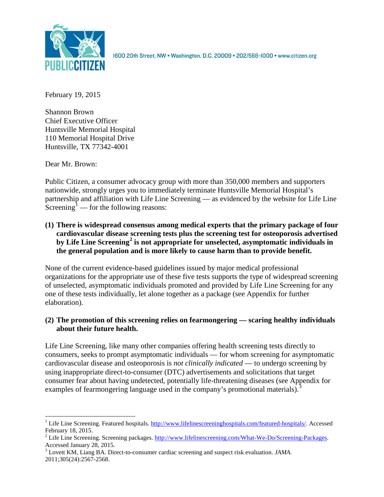

1600 20th Street, NW . Washington, D.C. 20009 . 202/588-1000 . www.citizen.org

February 19, 2015

Shannon Brown Chief Executive Officer Huntsville Memorial Hospital 110 Memorial Hospital Drive Huntsville, TX 77342-4001

Dear Mr. Brown:

Public Citizen, a consumer advocacy group with more than 350,000 members and supporters nationwide, strongly urges you to immediately terminate Huntsville Memorial Hospital's partnership and affiliation with Life Line Screening — as evidenced by the website for Life Line Screening<sup>[1](#page-0-0)</sup> — for the following reasons:

**(1) There is widespread consensus among medical experts that the primary package of four cardiovascular disease screening tests plus the screening test for osteoporosis advertised by Life Line Screening[2](#page-0-1) is not appropriate for unselected, asymptomatic individuals in the general population and is more likely to cause harm than to provide benefit.**

None of the current evidence-based guidelines issued by major medical professional organizations for the appropriate use of these five tests supports the type of widespread screening of unselected, asymptomatic individuals promoted and provided by Life Line Screening for any one of these tests individually, let alone together as a package (see Appendix for further elaboration).

## **(2) The promotion of this screening relies on fearmongering — scaring healthy individuals about their future health.**

Life Line Screening, like many other companies offering health screening tests directly to consumers, seeks to prompt asymptomatic individuals — for whom screening for asymptomatic cardiovascular disease and osteoporosis is *not clinically indicated* — to undergo screening by using inappropriate direct-to-consumer (DTC) advertisements and solicitations that target consumer fear about having undetected, potentially life-threatening diseases (see Appendix for examples of fearmongering language used in the company's promotional materials).<sup>[3](#page-0-2)</sup>

<span id="page-0-0"></span><sup>&</sup>lt;sup>1</sup> Life Line Screening. Featured hospitals. [http://www.lifelinescreeninghospitals.com/featured-hospitals/.](http://www.lifelinescreeninghospitals.com/featured-hospitals/) Accessed

<span id="page-0-1"></span>February 18, 2015.<br><sup>2</sup> Life Line Screening. Screening packages. [http://www.lifelinescreening.com/What-We-Do/Screening-Packages.](http://www.lifelinescreening.com/What-We-Do/Screening-Packages)<br>Accessed January 28, 2015.

<span id="page-0-2"></span><sup>&</sup>lt;sup>3</sup> Lovett KM, Liang BA. Direct-to-consumer cardiac screening and suspect risk evaluation. *JAMA*. 2011;305(24):2567-2568.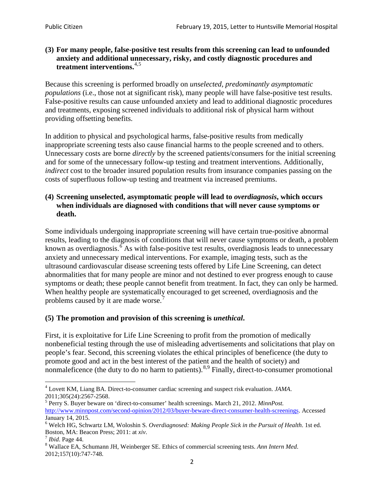### **(3) For many people, false-positive test results from this screening can lead to unfounded anxiety and additional unnecessary, risky, and costly diagnostic procedures and treatment interventions.**[4](#page-1-0),[5](#page-1-1)

Because this screening is performed broadly on *unselected, predominantly asymptomatic populations* (i.e., those not at significant risk), many people will have false**-**positive test results. False-positive results can cause unfounded anxiety and lead to additional diagnostic procedures and treatments, exposing screened individuals to additional risk of physical harm without providing offsetting benefits.

In addition to physical and psychological harms, false-positive results from medically inappropriate screening tests also cause financial harms to the people screened and to others. Unnecessary costs are borne *directly* by the screened patients/consumers for the initial screening and for some of the unnecessary follow-up testing and treatment interventions. Additionally, *indirect* cost to the broader insured population results from insurance companies passing on the costs of superfluous follow-up testing and treatment via increased premiums.

### **(4) Screening unselected, asymptomatic people will lead to** *overdiagnosis***, which occurs when individuals are diagnosed with conditions that will never cause symptoms or death.**

Some individuals undergoing inappropriate screening will have certain true-positive abnormal results, leading to the diagnosis of conditions that will never cause symptoms or death, a problem known as overdiagnosis.<sup>[6](#page-1-2)</sup> As with false-positive test results, overdiagnosis leads to unnecessary anxiety and unnecessary medical interventions. For example, imaging tests, such as the ultrasound cardiovascular disease screening tests offered by Life Line Screening, can detect abnormalities that for many people are minor and not destined to ever progress enough to cause symptoms or death; these people cannot benefit from treatment. In fact, they can only be harmed. When healthy people are systematically encouraged to get screened, overdiagnosis and the problems caused by it are made worse.<sup>[7](#page-1-3)</sup>

# **(5) The promotion and provision of this screening is** *unethical***.**

First, it is exploitative for Life Line Screening to profit from the promotion of medically nonbeneficial testing through the use of misleading advertisements and solicitations that play on people's fear. Second, this screening violates the ethical principles of beneficence (the duty to promote good and act in the best interest of the patient and the health of society) and nonmaleficence (the duty to do no harm to patients).<sup>[8](#page-1-4),[9](#page-1-5)</sup> Finally, direct-to-consumer promotional

<span id="page-1-5"></span><span id="page-1-0"></span><sup>4</sup> Lovett KM, Liang BA. Direct-to-consumer cardiac screening and suspect risk evaluation. *JAMA*.

<span id="page-1-1"></span><sup>2011;305(24):2567-2568.</sup> <sup>5</sup> Perry S. Buyer beware on 'direct-to-consumer' health screenings. March 21, 2012. *MinnPost.*  [http://www.minnpost.com/second-opinion/2012/03/buyer-beware-direct-consumer-health-screenings.](http://www.minnpost.com/second-opinion/2012/03/buyer-beware-direct-consumer-health-screenings) Accessed January 14, 2015.

<span id="page-1-2"></span><sup>6</sup> Welch HG, Schwartz LM, Woloshin S. *Overdiagnosed: Making People Sick in the Pursuit of Health*. 1st ed. Boston, MA: Beacon Press; 2011: at *xiv*.<br><sup>7</sup> *Ibid*. Page 44.<br><sup>8</sup> Wallace EA, Schumann JH, Weinberger SE. Ethics of commercial screening tests. *Ann Intern Med*.

<span id="page-1-3"></span>

<span id="page-1-4"></span><sup>2012;157(10):747-748.</sup>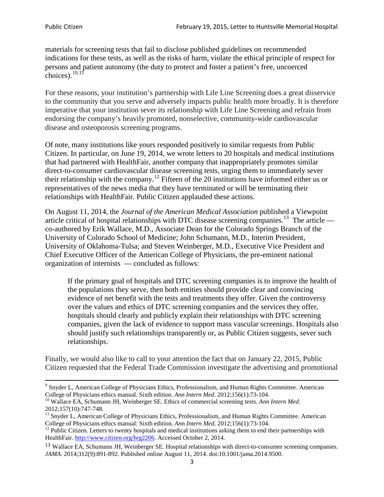materials for screening tests that fail to disclose published guidelines on recommended indications for these tests, as well as the risks of harm, violate the ethical principle of respect for persons and patient autonomy (the duty to protect and foster a patient's free, uncoerced choices). $\frac{10,11}{10,11}$  $\frac{10,11}{10,11}$  $\frac{10,11}{10,11}$  $\frac{10,11}{10,11}$ 

For these reasons, your institution's partnership with Life Line Screening does a great disservice to the community that you serve and adversely impacts public health more broadly. It is therefore imperative that your institution sever its relationship with Life Line Screening and refrain from endorsing the company's heavily promoted, nonselective, community**-**wide cardiovascular disease and osteoporosis screening programs.

Of note, many institutions like yours responded positively to similar requests from Public Citizen. In particular, on June 19, 2014, we wrote letters to 20 hospitals and medical institutions that had partnered with HealthFair, another company that inappropriately promotes similar direct-to-consumer cardiovascular disease screening tests, urging them to immediately sever their relationship with the company. [12](#page-2-2) Fifteen of the 20 institutions have informed either us or representatives of the news media that they have terminated or will be terminating their relationships with HealthFair. Public Citizen applauded these actions.

On August 11, 2014, the *Journal of the American Medical Association* published a Viewpoint article critical of hospital relationships with DTC disease screening companies.<sup>13</sup> The article co-authored by Erik Wallace, M.D., Associate Dean for the Colorado Springs Branch of the University of Colorado School of Medicine; John Schumann, M.D., Interim President, University of Oklahoma-Tulsa; and Steven Weinberger, M.D., Executive Vice President and Chief Executive Officer of the American College of Physicians, the pre**-**eminent national organization of internists — concluded as follows:

If the primary goal of hospitals and DTC screening companies is to improve the health of the populations they serve, then both entities should provide clear and convincing evidence of net benefit with the tests and treatments they offer. Given the controversy over the values and ethics of DTC screening companies and the services they offer, hospitals should clearly and publicly explain their relationships with DTC screening companies, given the lack of evidence to support mass vascular screenings. Hospitals also should justify such relationships transparently or, as Public Citizen suggests, sever such relationships.

Finally, we would also like to call to your attention the fact that on January 22, 2015, Public Citizen requested that the Federal Trade Commission investigate the advertising and promotional

<sup>&</sup>lt;sup>9</sup> Snyder L, American College of Physicians Ethics, Professionalism, and Human Rights Committee. American College of Physicians ethics manual. Sixth edition. Ann Intern Med. 2012;156(1):73-104.

<span id="page-2-0"></span><sup>&</sup>lt;sup>10</sup> Wallace EA, Schumann JH, Weinberger SE. Ethics of commercial screening tests. *Ann Intern Med*. 2012;157(10):747-748.

<span id="page-2-1"></span> $11$  Snyder L, American College of Physicians Ethics, Professionalism, and Human Rights Committee. American College of Physicians ethics manual: Sixth edition. *Ann Intern Med*. 2012;156(1):73-104.<br><sup>12</sup> Public Citizen. Letters to twenty hospitals and medical institutions asking them to end their partnerships with

<span id="page-2-2"></span>HealthFair. [http://www.citizen.org/hrg2206.](http://www.citizen.org/hrg2206) Accessed October 2, 2014.

<span id="page-2-3"></span><sup>13</sup> Wallace EA, Schumann JH, Weinberger SE. Hospital relationships with direct-to-consumer screening companies. *JAMA*. 2014;312(9):891-892. Published online August 11, 2014. doi:10.1001/jama.2014.9500.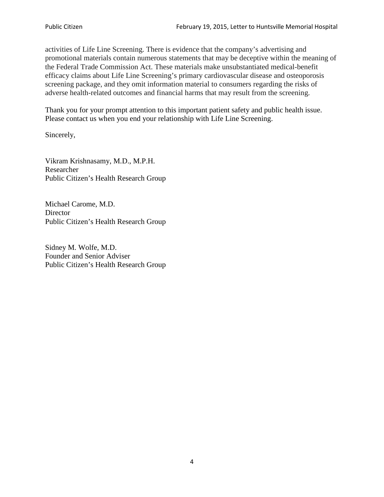activities of Life Line Screening. There is evidence that the company's advertising and promotional materials contain numerous statements that may be deceptive within the meaning of the Federal Trade Commission Act. These materials make unsubstantiated medical-benefit efficacy claims about Life Line Screening's primary cardiovascular disease and osteoporosis screening package, and they omit information material to consumers regarding the risks of adverse health-related outcomes and financial harms that may result from the screening.

Thank you for your prompt attention to this important patient safety and public health issue. Please contact us when you end your relationship with Life Line Screening.

Sincerely,

Vikram Krishnasamy, M.D., M.P.H. Researcher Public Citizen's Health Research Group

Michael Carome, M.D. **Director** Public Citizen's Health Research Group

Sidney M. Wolfe, M.D. Founder and Senior Adviser Public Citizen's Health Research Group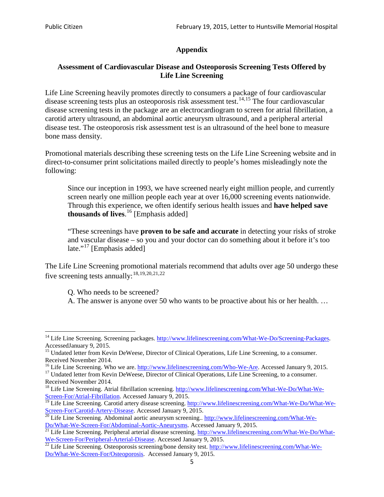## **Appendix**

### **Assessment of Cardiovascular Disease and Osteoporosis Screening Tests Offered by Life Line Screening**

Life Line Screening heavily promotes directly to consumers a package of four cardiovascular disease screening tests plus an osteoporosis risk assessment test.<sup>[14](#page-4-0),[15](#page-4-1)</sup> The four cardiovascular disease screening tests in the package are an electrocardiogram to screen for atrial fibrillation, a carotid artery ultrasound, an abdominal aortic aneurysm ultrasound, and a peripheral arterial disease test. The osteoporosis risk assessment test is an ultrasound of the heel bone to measure bone mass density.

Promotional materials describing these screening tests on the Life Line Screening website and in direct-to-consumer print solicitations mailed directly to people's homes misleadingly note the following:

Since our inception in 1993, we have screened nearly eight million people, and currently screen nearly one million people each year at over 16,000 screening events nationwide. Through this experience, we often identify serious health issues and **have helped save thousands of lives**. [16](#page-4-2) [Emphasis added]

"These screenings have **proven to be safe and accurate** in detecting your risks of stroke and vascular disease – so you and your doctor can do something about it before it's too late."<sup>[17](#page-4-3)</sup> [Emphasis added]

The Life Line Screening promotional materials recommend that adults over age 50 undergo these five screening tests annually:<sup>[18](#page-4-4),[19,](#page-4-5)[20,](#page-4-6)[21](#page-4-7),[22](#page-4-8)</sup>

Q. Who needs to be screened?

A. The answer is anyone over 50 who wants to be proactive about his or her health. …

Received November 2014.<br><sup>16</sup> Life Line Screening. Who we are. http://www.lifelinescreening.com/Who-We-Are. Accessed January 9, 2015.

<span id="page-4-3"></span><span id="page-4-2"></span><sup>17</sup> Undated letter from Kevin DeWeese, Director of Clinical Operations, Life Line Screening, to a consumer. Received November 2014.

<span id="page-4-0"></span><sup>&</sup>lt;sup>14</sup> Life Line Screening. Screening packages. [http://www.lifelinescreening.com/What-We-Do/Screening-Packages.](http://www.lifelinescreening.com/What-We-Do/Screening-Packages) AccessedJanuary 9, 2015.

<span id="page-4-1"></span><sup>&</sup>lt;sup>15</sup> Undated letter from Kevin DeWeese, Director of Clinical Operations, Life Line Screening, to a consumer.

<span id="page-4-4"></span><sup>&</sup>lt;sup>18</sup> Life Line Screening. Atrial fibrillation screening. [http://www.lifelinescreening.com/What-We-Do/What-We-](http://www.lifelinescreening.com/What-We-Do/What-We-Screen-For/Atrial-Fibrillation)[Screen-For/Atrial-Fibrillation.](http://www.lifelinescreening.com/What-We-Do/What-We-Screen-For/Atrial-Fibrillation) Accessed January 9, 2015.

<sup>&</sup>lt;sup>19</sup> Life Line Screening. Carotid artery disease screening. [http://www.lifelinescreening.com/What-We-Do/What-We-](http://www.lifelinescreening.com/What-We-Do/What-We-Screen-For/Carotid-Artery-Disease)

<span id="page-4-6"></span><span id="page-4-5"></span>[Screen-For/Carotid-Artery-Disease.](http://www.lifelinescreening.com/What-We-Do/What-We-Screen-For/Carotid-Artery-Disease) Accessed January 9, 2015.<br><sup>20</sup> Life Line Screening. Abdominal aortic aneurysm screening.. http://www.lifelinescreening.com/What-We-Do/What-We-Do/What-We-Screen-For/Abdominal-Aortic-Aneury

<span id="page-4-7"></span><sup>&</sup>lt;sup>21</sup> Life Line Screening. Peripheral arterial disease screening. [http://www.lifelinescreening.com/What-We-Do/What-](http://www.lifelinescreening.com/What-We-Do/What-We-Screen-For/Peripheral-Arterial-Disease)

<span id="page-4-8"></span>[We-Screen-For/Peripheral-Arterial-Disease.](http://www.lifelinescreening.com/What-We-Do/What-We-Screen-For/Peripheral-Arterial-Disease) Accessed January 9, 2015.<br><sup>22</sup> Life Line Screening. Osteoporosis screening/bone density test. [http://www.lifelinescreening.com/What-We-](http://www.lifelinescreening.com/What-We-Do/What-We-Screen-For/Osteoporosis)[Do/What-We-Screen-For/Osteoporosis.](http://www.lifelinescreening.com/What-We-Do/What-We-Screen-For/Osteoporosis) Accessed January 9, 2015.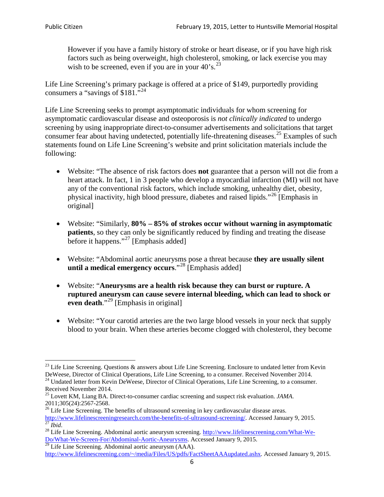However if you have a family history of stroke or heart disease, or if you have high risk factors such as being overweight, high cholesterol, smoking, or lack exercise you may wish to be screened, even if you are in your  $40^\circ$ s.<sup>[23](#page-5-0)</sup>

Life Line Screening's primary package is offered at a price of \$149, purportedly providing consumers a "savings of \$181."[24](#page-5-1)

Life Line Screening seeks to prompt asymptomatic individuals for whom screening for asymptomatic cardiovascular disease and osteoporosis is *not clinically indicated* to undergo screening by using inappropriate direct-to-consumer advertisements and solicitations that target consumer fear about having undetected, potentially life-threatening diseases.<sup>[25](#page-5-2)</sup> Examples of such statements found on Life Line Screening's website and print solicitation materials include the following:

- Website: "The absence of risk factors does **not** guarantee that a person will not die from a heart attack. In fact, 1 in 3 people who develop a myocardial infarction (MI) will not have any of the conventional risk factors, which include smoking, unhealthy diet, obesity, physical inactivity, high blood pressure, diabetes and raised lipids."[26](#page-5-3) [Emphasis in original]
- Website: "Similarly, **80% – 85% of strokes occur without warning in asymptomatic patients**, so they can only be significantly reduced by finding and treating the disease before it happens."<sup>[27](#page-5-4)</sup> [Emphasis added]
- Website: "Abdominal aortic aneurysms pose a threat because **they are usually silent until a medical emergency occurs**."[28](#page-5-5) [Emphasis added]
- Website: "**Aneurysms are a health risk because they can burst or rupture. A ruptured aneurysm can cause severe internal bleeding, which can lead to shock or even death.**"<sup>[29](#page-5-6)</sup> [Emphasis in original]
- Website: "Your carotid arteries are the two large blood vessels in your neck that supply blood to your brain. When these arteries become clogged with cholesterol, they become

<span id="page-5-0"></span><sup>&</sup>lt;sup>23</sup> Life Line Screening. Questions  $\&$  answers about Life Line Screening. Enclosure to undated letter from Kevin DeWeese, Director of Clinical Operations, Life Line Screening, to a consumer. Received November 2014. 24 Undated letter from Kevin DeWeese, Director of Clinical Operations, Life Line Screening, to a consumer.

<span id="page-5-1"></span>Received November 2014.

<span id="page-5-2"></span><sup>25</sup> Lovett KM, Liang BA. Direct-to-consumer cardiac screening and suspect risk evaluation. *JAMA*.  $2011;305(24):2567-2568$ .<br><sup>26</sup> Life Line Screening. The benefits of ultrasound screening in key cardiovascular disease areas.

<span id="page-5-3"></span>[http://www.lifelinescreeningresearch.com/the-benefits-of-ultrasound-screening/.](http://www.lifelinescreeningresearch.com/the-benefits-of-ultrasound-screening/) Accessed January 9, 2015.<br><sup>28</sup> Life Line Screening. Abdominal aortic aneurysm screening. http://www.lifelinescreening.com/What-We-<sup>28</sup>

<span id="page-5-5"></span><span id="page-5-4"></span>[Do/What-We-Screen-For/Abdominal-Aortic-Aneurysms.](http://www.lifelinescreening.com/What-We-Do/What-We-Screen-For/Abdominal-Aortic-Aneurysms) Accessed January 9, 2015. <sup>29</sup> Life Line Screening. Abdominal aortic aneurysm (AAA).

<span id="page-5-6"></span>[http://www.lifelinescreening.com/~/media/Files/US/pdfs/FactSheetAAAupdated.ashx.](http://www.lifelinescreening.com/~/media/Files/US/pdfs/FactSheetAAAupdated.ashx) Accessed January 9, 2015.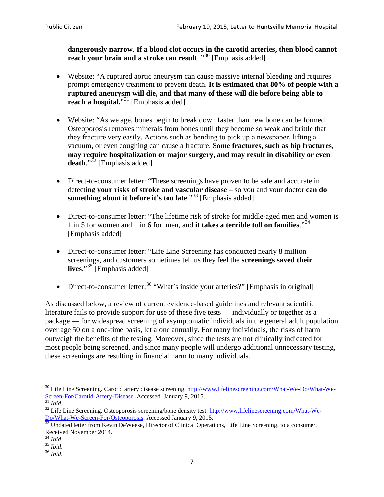**dangerously narrow**. **If a blood clot occurs in the carotid arteries, then blood cannot reach your brain and a stroke can result**. "<sup>[30](#page-6-0)</sup> [Emphasis added]

- Website: "A ruptured aortic aneurysm can cause massive internal bleeding and requires prompt emergency treatment to prevent death. **It is estimated that 80% of people with a ruptured aneurysm will die, and that many of these will die before being able to reach a hospital.**"<sup>[31](#page-6-1)</sup> [Emphasis added]
- Website: "As we age, bones begin to break down faster than new bone can be formed. Osteoporosis removes minerals from bones until they become so weak and brittle that they fracture very easily. Actions such as bending to pick up a newspaper, lifting a vacuum, or even coughing can cause a fracture. **Some fractures, such as hip fractures, may require hospitalization or major surgery, and may result in disability or even**  death."<sup>[32](#page-6-2)</sup> [Emphasis added]
- Direct-to-consumer letter: "These screenings have proven to be safe and accurate in detecting **your risks of stroke and vascular disease** – so you and your doctor **can do something about it before it's too late.**"<sup>[33](#page-6-3)</sup> [Emphasis added]
- Direct-to-consumer letter: "The lifetime risk of stroke for middle-aged men and women is 1 in 5 for women and 1 in 6 for men, and **it takes a terrible toll on families**."[34](#page-6-4) [Emphasis added]
- Direct-to-consumer letter: "Life Line Screening has conducted nearly 8 million screenings, and customers sometimes tell us they feel the **screenings saved their lives**."[35](#page-6-5) [Emphasis added]
- Direct-to-consumer letter:  $36$  "What's inside your arteries?" [Emphasis in original]

As discussed below, a review of current evidence-based guidelines and relevant scientific literature fails to provide support for use of these five tests — individually or together as a package — for widespread screening of asymptomatic individuals in the general adult population over age 50 on a one-time basis, let alone annually. For many individuals, the risks of harm outweigh the benefits of the testing. Moreover, since the tests are not clinically indicated for most people being screened, and since many people will undergo additional unnecessary testing, these screenings are resulting in financial harm to many individuals.

<span id="page-6-0"></span><sup>&</sup>lt;sup>30</sup> Life Line Screening. Carotid artery disease screening. [http://www.lifelinescreening.com/What-We-Do/What-We-](http://www.lifelinescreening.com/What-We-Do/What-We-Screen-For/Carotid-Artery-Disease)[Screen-For/Carotid-Artery-Disease.](http://www.lifelinescreening.com/What-We-Do/What-We-Screen-For/Carotid-Artery-Disease) Accessed January 9, 2015.<br><sup>31</sup> *Ibid.* 32 Life Line Screening. Osteoporosis screening/bone density test. [http://www.lifelinescreening.com/What-We-](http://www.lifelinescreening.com/What-We-Do/What-We-Screen-For/Osteoporosis)

<span id="page-6-2"></span><span id="page-6-1"></span>[Do/What-We-Screen-For/Osteoporosis.](http://www.lifelinescreening.com/What-We-Do/What-We-Screen-For/Osteoporosis) Accessed January 9, 2015. <sup>33</sup> Undated letter from Kevin DeWeese, Director of Clinical Operations, Life Line Screening, to a consumer.

<span id="page-6-3"></span>Received November 2014.<br><sup>34</sup> Ibid.

<span id="page-6-4"></span>

<span id="page-6-5"></span><sup>34</sup> *Ibid*. 35 *Ibid*. 36 *Ibid*.

<span id="page-6-6"></span>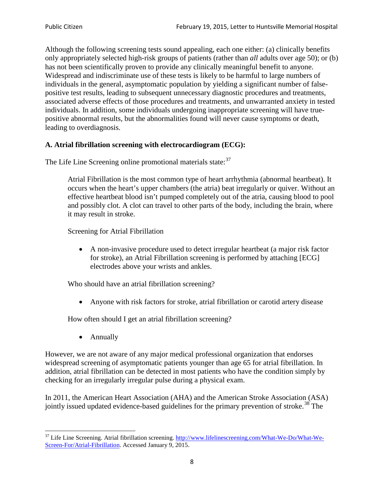Although the following screening tests sound appealing, each one either: (a) clinically benefits only appropriately selected high-risk groups of patients (rather than *all* adults over age 50); or (b) has not been scientifically proven to provide any clinically meaningful benefit to anyone. Widespread and indiscriminate use of these tests is likely to be harmful to large numbers of individuals in the general, asymptomatic population by yielding a significant number of falsepositive test results, leading to subsequent unnecessary diagnostic procedures and treatments, associated adverse effects of those procedures and treatments, and unwarranted anxiety in tested individuals. In addition, some individuals undergoing inappropriate screening will have truepositive abnormal results, but the abnormalities found will never cause symptoms or death, leading to overdiagnosis.

## **A. Atrial fibrillation screening with electrocardiogram (ECG):**

The Life Line Screening online promotional materials state:<sup>[37](#page-7-0)</sup>

Atrial Fibrillation is the most common type of heart arrhythmia (abnormal heartbeat). It occurs when the heart's upper chambers (the atria) beat irregularly or quiver. Without an effective heartbeat blood isn't pumped completely out of the atria, causing blood to pool and possibly clot. A clot can travel to other parts of the body, including the brain, where it may result in stroke.

Screening for Atrial Fibrillation

• A non-invasive procedure used to detect irregular heartbeat (a major risk factor for stroke), an Atrial Fibrillation screening is performed by attaching [ECG] electrodes above your wrists and ankles.

Who should have an atrial fibrillation screening?

• Anyone with risk factors for stroke, atrial fibrillation or carotid artery disease

How often should I get an atrial fibrillation screening?

• Annually

<span id="page-7-1"></span>However, we are not aware of any major medical professional organization that endorses widespread screening of asymptomatic patients younger than age 65 for atrial fibrillation. In addition, atrial fibrillation can be detected in most patients who have the condition simply by checking for an irregularly irregular pulse during a physical exam.

In 2011, the American Heart Association (AHA) and the American Stroke Association (ASA) jointly issued updated evidence-based guidelines for the primary prevention of stroke.<sup>[38](#page-7-1)</sup> The

<span id="page-7-0"></span><sup>&</sup>lt;sup>37</sup> Life Line Screening. Atrial fibrillation screening. [http://www.lifelinescreening.com/What-We-Do/What-We-](http://www.lifelinescreening.com/What-We-Do/What-We-Screen-For/Atrial-Fibrillation)[Screen-For/Atrial-Fibrillation.](http://www.lifelinescreening.com/What-We-Do/What-We-Screen-For/Atrial-Fibrillation) Accessed January 9, 2015.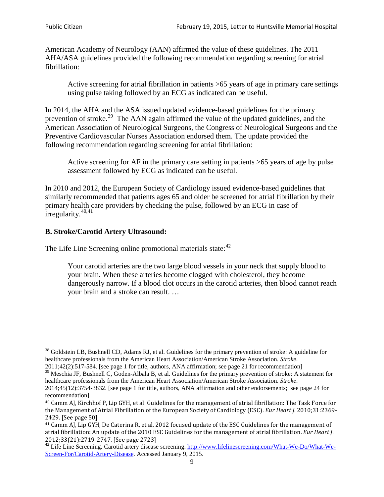American Academy of Neurology (AAN) affirmed the value of these guidelines. The 2011 AHA/ASA guidelines provided the following recommendation regarding screening for atrial fibrillation:

Active screening for atrial fibrillation in patients >65 years of age in primary care settings using pulse taking followed by an ECG as indicated can be useful.

In 2014, the AHA and the ASA issued updated evidence-based guidelines for the primary prevention of stroke.<sup>[39](#page-8-0)</sup> The AAN again affirmed the value of the updated guidelines, and the American Association of Neurological Surgeons, the Congress of Neurological Surgeons and the Preventive Cardiovascular Nurses Association endorsed them. The update provided the following recommendation regarding screening for atrial fibrillation:

Active screening for AF in the primary care setting in patients >65 years of age by pulse assessment followed by ECG as indicated can be useful.

In 2010 and 2012, the European Society of Cardiology issued evidence-based guidelines that similarly recommended that patients ages 65 and older be screened for atrial fibrillation by their primary health care providers by checking the pulse, followed by an ECG in case of irregularity. $40,41$  $40,41$ 

## **B. Stroke/Carotid Artery Ultrasound:**

The Life Line Screening online promotional materials state:<sup>[42](#page-8-3)</sup>

Your carotid arteries are the two large blood vessels in your neck that supply blood to your brain. When these arteries become clogged with cholesterol, they become dangerously narrow. If a blood clot occurs in the carotid arteries, then blood cannot reach your brain and a stroke can result. …

<sup>&</sup>lt;sup>38</sup> Goldstein LB, Bushnell CD, Adams RJ, et al. Guidelines for the primary prevention of stroke: A guideline for healthcare professionals from the American Heart Association/American Stroke Association. *Stroke*.

<sup>2011;42(2):517-584.</sup> [see page 1 for title, authors, ANA affirmation; see page 21 for recommendation]

<span id="page-8-0"></span> $\frac{2011,42(2)(317,601)}{39}$  Meschia JF, Bushnell C, Goden-Albala B, et al. Guidelines for the primary prevention of stroke: A statement for healthcare professionals from the American Heart Association/American Stroke Association. *Stroke*.

<sup>2014;45(12):3754-3832.</sup> [see page 1 for title, authors, ANA affirmation and other endorsements; see page 24 for recommendation]

<span id="page-8-1"></span><sup>40</sup> Camm AJ, Kirchhof P, Lip GYH, et al. Guidelines for the management of atrial fibrillation: The Task Force for the Management of Atrial Fibrillation of the European Society of Cardiology (ESC). *Eur Heart J*. 2010;31:2369- 2429. [See page 50]

<span id="page-8-2"></span><sup>41</sup> Camm AJ, Lip GYH, De Caterina R, et al. 2012 focused update of the ESC Guidelines for the management of atrial fibrillation: An update of the 2010 ESC Guidelines for the management of atrial fibrillation. *Eur Heart J*.

<span id="page-8-3"></span><sup>&</sup>lt;sup>2012</sup>;23(21):2719-2747. [See page 2733] 42 Life Line Screening. [http://www.lifelinescreening.com/What-We-Do/What-We-](http://www.lifelinescreening.com/What-We-Do/What-We-Screen-For/Carotid-Artery-Disease)[Screen-For/Carotid-Artery-Disease.](http://www.lifelinescreening.com/What-We-Do/What-We-Screen-For/Carotid-Artery-Disease) Accessed January 9, 2015.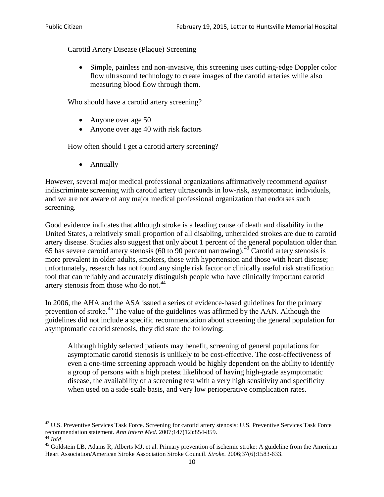Carotid Artery Disease (Plaque) Screening

• Simple, painless and non-invasive, this screening uses cutting-edge Doppler color flow ultrasound technology to create images of the carotid arteries while also measuring blood flow through them.

Who should have a carotid artery screening?

- Anyone over age 50
- Anyone over age 40 with risk factors

How often should I get a carotid artery screening?

• Annually

However, several major medical professional organizations affirmatively recommend *against* indiscriminate screening with carotid artery ultrasounds in low-risk, asymptomatic individuals, and we are not aware of any major medical professional organization that endorses such screening.

Good evidence indicates that although stroke is a leading cause of death and disability in the United States, a relatively small proportion of all disabling, unheralded strokes are due to carotid artery disease. Studies also suggest that only about 1 percent of the general population older than 65 has severe carotid artery stenosis (60 to 90 percent narrowing).<sup>[43](#page-9-0)</sup> Carotid artery stenosis is more prevalent in older adults, smokers, those with hypertension and those with heart disease; unfortunately, research has not found any single risk factor or clinically useful risk stratification tool that can reliably and accurately distinguish people who have clinically important carotid artery stenosis from those who do not.<sup>[44](#page-9-1)</sup>

In 2006, the AHA and the ASA issued a series of evidence-based guidelines for the primary prevention of stroke.[45](#page-9-2) The value of the guidelines was affirmed by the AAN. Although the guidelines did not include a specific recommendation about screening the general population for asymptomatic carotid stenosis, they did state the following:

Although highly selected patients may benefit, screening of general populations for asymptomatic carotid stenosis is unlikely to be cost-effective. The cost-effectiveness of even a one-time screening approach would be highly dependent on the ability to identify a group of persons with a high pretest likelihood of having high-grade asymptomatic disease, the availability of a screening test with a very high sensitivity and specificity when used on a side-scale basis, and very low perioperative complication rates.

<span id="page-9-0"></span> $^{43}$  U.S. Preventive Services Task Force. Screening for carotid artery stenosis: U.S. Preventive Services Task Force recommendation statement. Ann Intern Med. 2007;147(12):854-859.

<span id="page-9-2"></span>

<span id="page-9-1"></span><sup>&</sup>lt;sup>44</sup> *Ibid*. <sup>45</sup> Goldstein LB, Adams R, Alberts MJ, et al. Primary prevention of ischemic stroke: A guideline from the American <sup>45</sup> Goldstein LB, Adams R, Alberts MJ, et al. Primary prevention of ischemic stroke: A guide Heart Association/American Stroke Association Stroke Council. *Stroke*. 2006;37(6):1583-633.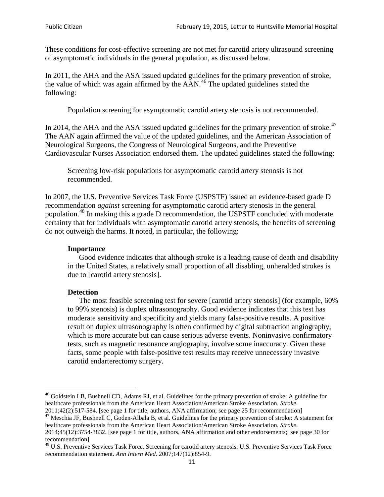These conditions for cost-effective screening are not met for carotid artery ultrasound screening of asymptomatic individuals in the general population, as discussed below.

In 2011, the AHA and the ASA issued updated guidelines for the primary prevention of stroke, the value of which was again affirmed by the  $AAN<sup>46</sup>$  $AAN<sup>46</sup>$  $AAN<sup>46</sup>$ . The updated guidelines stated the following:

Population screening for asymptomatic carotid artery stenosis is not recommended.

In 2014, the AHA and the ASA issued updated guidelines for the primary prevention of stroke.<sup>47</sup> The AAN again affirmed the value of the updated guidelines, and the American Association of Neurological Surgeons, the Congress of Neurological Surgeons, and the Preventive Cardiovascular Nurses Association endorsed them. The updated guidelines stated the following:

Screening low-risk populations for asymptomatic carotid artery stenosis is not recommended.

In 2007, the U.S. Preventive Services Task Force (USPSTF) issued an evidence-based grade D recommendation *against* screening for asymptomatic carotid artery stenosis in the general population.[48](#page-10-2) In making this a grade D recommendation, the USPSTF concluded with moderate certainty that for individuals with asymptomatic carotid artery stenosis, the benefits of screening do not outweigh the harms. It noted, in particular, the following:

#### **Importance**

Good evidence indicates that although stroke is a leading cause of death and disability in the United States, a relatively small proportion of all disabling, unheralded strokes is due to [carotid artery stenosis].

#### **Detection**

The most feasible screening test for severe [carotid artery stenosis] (for example, 60% to 99% stenosis) is duplex ultrasonography. Good evidence indicates that this test has moderate sensitivity and specificity and yields many false-positive results. A positive result on duplex ultrasonography is often confirmed by digital subtraction angiography, which is more accurate but can cause serious adverse events. Noninvasive confirmatory tests, such as magnetic resonance angiography, involve some inaccuracy. Given these facts, some people with false-positive test results may receive unnecessary invasive carotid endarterectomy surgery.

<span id="page-10-0"></span><sup>&</sup>lt;sup>46</sup> Goldstein LB, Bushnell CD, Adams RJ, et al. Guidelines for the primary prevention of stroke: A guideline for healthcare professionals from the American Heart Association/American Stroke Association. *Stroke*.<br>2011;42(2):517-584. [see page 1 for title, authors, ANA affirmation; see page 25 for recommendation]

<span id="page-10-1"></span><sup>&</sup>lt;sup>47</sup> Meschia JF, Bushnell C, Goden-Albala B, et al. Guidelines for the primary prevention of stroke: A statement for healthcare professionals from the American Heart Association/American Stroke Association. *Stroke*. 2014;45(12):3754-3832. [see page 1 for title, authors, ANA affirmation and other endorsements; see page 30 for

recommendation]

<span id="page-10-2"></span><sup>&</sup>lt;sup>48</sup> U.S. Preventive Services Task Force. Screening for carotid artery stenosis: U.S. Preventive Services Task Force recommendation statement. *Ann Intern Med*. 2007;147(12):854-9.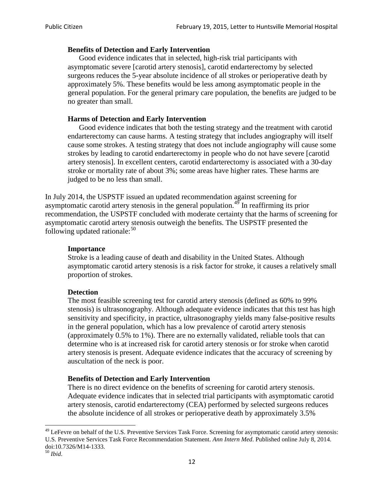### **Benefits of Detection and Early Intervention**

Good evidence indicates that in selected, high-risk trial participants with asymptomatic severe [carotid artery stenosis], carotid endarterectomy by selected surgeons reduces the 5-year absolute incidence of all strokes or perioperative death by approximately 5%. These benefits would be less among asymptomatic people in the general population. For the general primary care population, the benefits are judged to be no greater than small.

### **Harms of Detection and Early Intervention**

Good evidence indicates that both the testing strategy and the treatment with carotid endarterectomy can cause harms. A testing strategy that includes angiography will itself cause some strokes. A testing strategy that does not include angiography will cause some strokes by leading to carotid endarterectomy in people who do not have severe [carotid artery stenosis]. In excellent centers, carotid endarterectomy is associated with a 30-day stroke or mortality rate of about 3%; some areas have higher rates. These harms are judged to be no less than small.

In July 2014, the USPSTF issued an updated recommendation against screening for asymptomatic carotid artery stenosis in the general population.<sup>[49](#page-11-0)</sup> In reaffirming its prior recommendation, the USPSTF concluded with moderate certainty that the harms of screening for asymptomatic carotid artery stenosis outweigh the benefits. The USPSTF presented the following updated rationale: $50$ 

#### **Importance**

Stroke is a leading cause of death and disability in the United States. Although asymptomatic carotid artery stenosis is a risk factor for stroke, it causes a relatively small proportion of strokes.

#### **Detection**

The most feasible screening test for carotid artery stenosis (defined as 60% to 99% stenosis) is ultrasonography. Although adequate evidence indicates that this test has high sensitivity and specificity, in practice, ultrasonography yields many false-positive results in the general population, which has a low prevalence of carotid artery stenosis (approximately 0.5% to 1%). There are no externally validated, reliable tools that can determine who is at increased risk for carotid artery stenosis or for stroke when carotid artery stenosis is present. Adequate evidence indicates that the accuracy of screening by auscultation of the neck is poor.

## **Benefits of Detection and Early Intervention**

There is no direct evidence on the benefits of screening for carotid artery stenosis. Adequate evidence indicates that in selected trial participants with asymptomatic carotid artery stenosis, carotid endarterectomy (CEA) performed by selected surgeons reduces the absolute incidence of all strokes or perioperative death by approximately 3.5%

<span id="page-11-0"></span><sup>&</sup>lt;sup>49</sup> LeFevre on behalf of the U.S. Preventive Services Task Force. Screening for asymptomatic carotid artery stenosis: U.S. Preventive Services Task Force Recommendation Statement. *Ann Intern Med*. Published online July 8, 2014. doi:10.7326/M14-1333. <sup>50</sup> *Ibid*.

<span id="page-11-1"></span>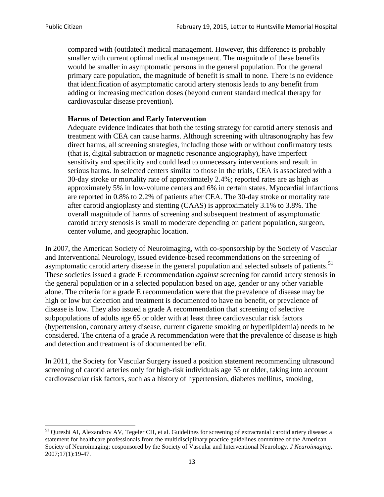compared with (outdated) medical management. However, this difference is probably smaller with current optimal medical management. The magnitude of these benefits would be smaller in asymptomatic persons in the general population. For the general primary care population, the magnitude of benefit is small to none. There is no evidence that identification of asymptomatic carotid artery stenosis leads to any benefit from adding or increasing medication doses (beyond current standard medical therapy for cardiovascular disease prevention).

#### **Harms of Detection and Early Intervention**

Adequate evidence indicates that both the testing strategy for carotid artery stenosis and treatment with CEA can cause harms. Although screening with ultrasonography has few direct harms, all screening strategies, including those with or without confirmatory tests (that is, digital subtraction or magnetic resonance angiography), have imperfect sensitivity and specificity and could lead to unnecessary interventions and result in serious harms. In selected centers similar to those in the trials, CEA is associated with a 30-day stroke or mortality rate of approximately 2.4%; reported rates are as high as approximately 5% in low-volume centers and 6% in certain states. Myocardial infarctions are reported in 0.8% to 2.2% of patients after CEA. The 30-day stroke or mortality rate after carotid angioplasty and stenting (CAAS) is approximately 3.1% to 3.8%. The overall magnitude of harms of screening and subsequent treatment of asymptomatic carotid artery stenosis is small to moderate depending on patient population, surgeon, center volume, and geographic location.

In 2007, the American Society of Neuroimaging, with co-sponsorship by the Society of Vascular and Interventional Neurology, issued evidence-based recommendations on the screening of asymptomatic carotid artery disease in the general population and selected subsets of patients.<sup>[51](#page-12-0)</sup> These societies issued a grade E recommendation *against* screening for carotid artery stenosis in the general population or in a selected population based on age, gender or any other variable alone. The criteria for a grade E recommendation were that the prevalence of disease may be high or low but detection and treatment is documented to have no benefit, or prevalence of disease is low. They also issued a grade A recommendation that screening of selective subpopulations of adults age 65 or older with at least three cardiovascular risk factors (hypertension, coronary artery disease, current cigarette smoking or hyperlipidemia) needs to be considered. The criteria of a grade A recommendation were that the prevalence of disease is high and detection and treatment is of documented benefit.

In 2011, the Society for Vascular Surgery issued a position statement recommending ultrasound screening of carotid arteries only for high-risk individuals age 55 or older, taking into account cardiovascular risk factors, such as a history of hypertension, diabetes mellitus, smoking,

<span id="page-12-0"></span><sup>&</sup>lt;sup>51</sup> Qureshi AI, Alexandrov AV, Tegeler CH, et al. Guidelines for screening of extracranial carotid artery disease: a statement for healthcare professionals from the multidisciplinary practice guidelines committee of the American Society of Neuroimaging; cosponsored by the Society of Vascular and Interventional Neurology. *J Neuroimaging*. 2007;17(1):19-47.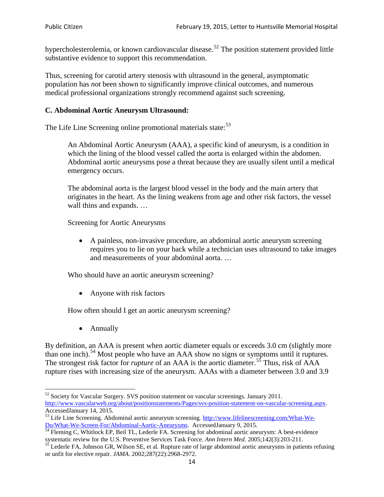hypercholesterolemia, or known cardiovascular disease.<sup>[52](#page-13-0)</sup> The position statement provided little substantive evidence to support this recommendation.

Thus, screening for carotid artery stenosis with ultrasound in the general, asymptomatic population has *not* been shown to significantly improve clinical outcomes, and numerous medical professional organizations strongly recommend against such screening.

#### **C. Abdominal Aortic Aneurysm Ultrasound:**

The Life Line Screening online promotional materials state:<sup>[53](#page-13-1)</sup>

An Abdominal Aortic Aneurysm (AAA), a specific kind of aneurysm, is a condition in which the lining of the blood vessel called the aorta is enlarged within the abdomen. Abdominal aortic aneurysms pose a threat because they are usually silent until a medical emergency occurs.

The abdominal aorta is the largest blood vessel in the body and the main artery that originates in the heart. As the lining weakens from age and other risk factors, the vessel wall thins and expands. …

Screening for Aortic Aneurysms

• A painless, non-invasive procedure, an abdominal aortic aneurysm screening requires you to lie on your back while a technician uses ultrasound to take images and measurements of your abdominal aorta. …

Who should have an aortic aneurysm screening?

• Anyone with risk factors

How often should I get an aortic aneurysm screening?

• Annually

By definition, an AAA is present when aortic diameter equals or exceeds 3.0 cm (slightly more than one inch).<sup>[54](#page-13-2)</sup> Most people who have an AAA show no signs or symptoms until it ruptures. The strongest risk factor for *rupture* of an AAA is the aortic diameter.<sup>[55](#page-13-3)</sup> Thus, risk of AAA rupture rises with increasing size of the aneurysm. AAAs with a diameter between 3.0 and 3.9

<span id="page-13-0"></span><sup>&</sup>lt;sup>52</sup> Society for Vascular Surgery. SVS position statement on vascular screenings. January 2011. http://www.vascularweb.org/about/positionstatements/Pages/svs-position-statement-on-vascular-screening.aspx.<br>Accessed January 14, 2015.

<span id="page-13-1"></span>Accessed January 14, 2015.<br>
Sa Life Line Screening. Abdominal aortic aneurysm screening. http://www.lifelinescreening.com/What-We-<br>
Do/What-We-Screen-For/Abdominal-Aortic-Aneurysms. Accessed January 9, 2015.

<span id="page-13-2"></span> $\frac{54}{9}$  Fleming C, Whitlock EP, Beil TL, Lederle FA. Screening for abdominal aortic aneurysm: A best-evidence systematic review for the U.S. Preventive Services Task Force. *Ann Intern Med.* 2005;142(3):203-211.<br><sup>55</sup> Lederle FA, Johnson GR, Wilson SE, et al. Rupture rate of large abdominal aortic aneurysms in patients refusing

<span id="page-13-3"></span>or unfit for elective repair. *JAMA*. 2002;287(22):2968-2972.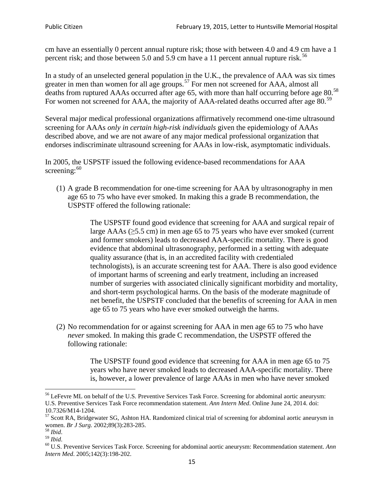cm have an essentially 0 percent annual rupture risk; those with between 4.0 and 4.9 cm have a 1 percent risk; and those between 5.0 and 5.9 cm have a 11 percent annual rupture risk.<sup>[56](#page-14-0)</sup>

In a study of an unselected general population in the U.K., the prevalence of AAA was six times greater in men than women for all age groups.<sup>[57](#page-14-1)</sup> For men not screened for  $AAA$ , almost all deaths from ruptured AAAs occurred after age 65, with more than half occurring before age 80.<sup>[58](#page-14-2)</sup> For women not screened for AAA, the majority of AAA-related deaths occurred after age 80.<sup>[59](#page-14-3)</sup>

Several major medical professional organizations affirmatively recommend one-time ultrasound screening for AAAs *only in certain high-risk individuals* given the epidemiology of AAAs described above, and we are not aware of any major medical professional organization that endorses indiscriminate ultrasound screening for AAAs in low-risk, asymptomatic individuals.

In 2005, the USPSTF issued the following evidence-based recommendations for AAA screening:  $60$ 

(1) A grade B recommendation for one-time screening for AAA by ultrasonography in men age 65 to 75 who have ever smoked. In making this a grade [B recommendation,](http://www.uspreventiveservicestaskforce.org/uspstf/gradespre.htm#brec) the USPSTF offered the following rationale:

> The USPSTF found good evidence that screening for AAA and surgical repair of large AAAs ( $\geq$ 5.5 cm) in men age 65 to 75 years who have ever smoked (current and former smokers) leads to decreased AAA-specific mortality. There is good evidence that abdominal ultrasonography, performed in a setting with adequate quality assurance (that is, in an accredited facility with credentialed technologists), is an accurate screening test for AAA. There is also good evidence of important harms of screening and early treatment, including an increased number of surgeries with associated clinically significant morbidity and mortality, and short-term psychological harms. On the basis of the moderate magnitude of net benefit, the USPSTF concluded that the benefits of screening for AAA in men age 65 to 75 years who have ever smoked outweigh the harms.

(2) No recommendation for or against screening for AAA in men age 65 to 75 who have *never* smoked. In making this grade C recommendation, the USPSTF offered the following rationale:

> The USPSTF found good evidence that screening for AAA in men age 65 to 75 years who have never smoked leads to decreased AAA-specific mortality. There is, however, a lower prevalence of large AAAs in men who have never smoked

<span id="page-14-0"></span><sup>&</sup>lt;sup>56</sup> LeFevre ML on behalf of the U.S. Preventive Services Task Force. Screening for abdominal aortic aneurysm: U.S. Preventive Services Task Force recommendation statement. *Ann Intern Med*. Online June 24, 2014. doi:

<span id="page-14-1"></span><sup>10.7326/</sup>M14-1204.<br> $57$  Scott RA, Bridgewater SG, Ashton HA. Randomized clinical trial of screening for abdominal aortic aneurysm in women. *Br J Surg.* 2002;89(3):283-285.

<span id="page-14-4"></span><span id="page-14-3"></span>

<span id="page-14-2"></span><sup>&</sup>lt;sup>58</sup> *Ibid.*<br><sup>59</sup> *Ibid. Comen. Breeft Bervices Task Force. Screening for abdominal aortic aneurysm: Recommendation statement. <i>Ann* <sup>60</sup> U.S. Preventive Services Task Force. Screening for abdominal aortic aneurysm: Re *Intern Med*. 2005;142(3):198-202.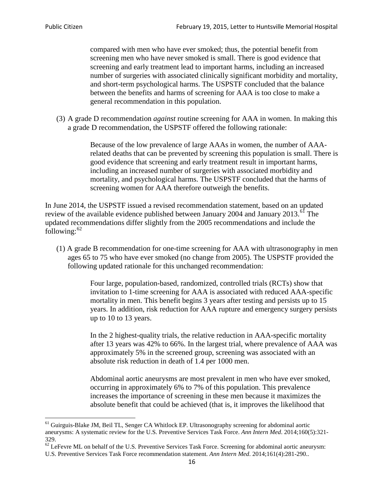compared with men who have ever smoked; thus, the potential benefit from screening men who have never smoked is small. There is good evidence that screening and early treatment lead to important harms, including an increased number of surgeries with associated clinically significant morbidity and mortality, and short-term psychological harms. The USPSTF concluded that the balance between the benefits and harms of screening for AAA is too close to make a general recommendation in this population.

(3) A grade D recommendation *against* routine screening for AAA in women. In making this a grade D recommendation, the USPSTF offered the following rationale:

> Because of the low prevalence of large AAAs in women, the number of AAArelated deaths that can be prevented by screening this population is small. There is good evidence that screening and early treatment result in important harms, including an increased number of surgeries with associated morbidity and mortality, and psychological harms. The USPSTF concluded that the harms of screening women for AAA therefore outweigh the benefits.

In June 2014, the USPSTF issued a revised recommendation statement, based on an updated review of the available evidence published between January 2004 and January 2013.<sup>[61](#page-15-0)</sup> The updated recommendations differ slightly from the 2005 recommendations and include the following: $62$ 

(1) A grade B recommendation for one-time screening for AAA with ultrasonography in men ages 65 to 75 who have ever smoked (no change from 2005). The USPSTF provided the following updated rationale for this unchanged recommendation:

> Four large, population-based, randomized, controlled trials (RCTs) show that invitation to 1-time screening for AAA is associated with reduced AAA-specific mortality in men. This benefit begins 3 years after testing and persists up to 15 years. In addition, risk reduction for AAA rupture and emergency surgery persists up to 10 to 13 years.

> In the 2 highest-quality trials, the relative reduction in AAA-specific mortality after 13 years was 42% to 66%. In the largest trial, where prevalence of AAA was approximately 5% in the screened group, screening was associated with an absolute risk reduction in death of 1.4 per 1000 men.

Abdominal aortic aneurysms are most prevalent in men who have ever smoked, occurring in approximately 6% to 7% of this population. This prevalence increases the importance of screening in these men because it maximizes the absolute benefit that could be achieved (that is, it improves the likelihood that

<span id="page-15-0"></span><sup>61</sup> Guirguis-Blake JM, Beil TL, Senger CA Whitlock EP. Ultrasonography screening for abdominal aortic aneurysms: A systematic review for the U.S. Preventive Services Task Force. *Ann Intern Med*. 2014;160(5):321- 329.

<span id="page-15-1"></span> $62$  LeFevre ML on behalf of the U.S. Preventive Services Task Force. Screening for abdominal aortic aneurysm: U.S. Preventive Services Task Force recommendation statement. *Ann Intern Med*. 2014;161(4):281-290..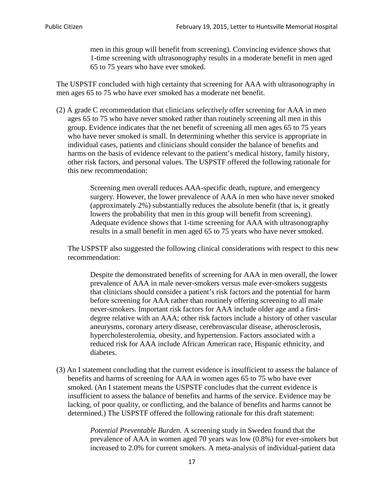men in this group will benefit from screening). Convincing evidence shows that 1-time screening with ultrasonography results in a moderate benefit in men aged 65 to 75 years who have ever smoked.

The USPSTF concluded with high certainty that screening for AAA with ultrasonography in men ages 65 to 75 who have ever smoked has a moderate net benefit.

(2) A grade C recommendation that clinicians *selectively* offer screening for AAA in men ages 65 to 75 who have never smoked rather than routinely screening all men in this group. Evidence indicates that the net benefit of screening all men ages 65 to 75 years who have never smoked is small. In determining whether this service is appropriate in individual cases, patients and clinicians should consider the balance of benefits and harms on the basis of evidence relevant to the patient's medical history, family history, other risk factors, and personal values. The USPSTF offered the following rationale for this new recommendation:

> Screening men overall reduces AAA-specific death, rupture, and emergency surgery. However, the lower prevalence of AAA in men who have never smoked (approximately 2%) substantially reduces the absolute benefit (that is, it greatly lowers the probability that men in this group will benefit from screening). Adequate evidence shows that 1-time screening for AAA with ultrasonography results in a small benefit in men aged 65 to 75 years who have never smoked.

The USPSTF also suggested the following clinical considerations with respect to this new recommendation:

Despite the demonstrated benefits of screening for AAA in men overall, the lower prevalence of AAA in male never-smokers versus male ever-smokers suggests that clinicians should consider a patient's risk factors and the potential for harm before screening for AAA rather than routinely offering screening to all male never-smokers. Important risk factors for AAA include older age and a firstdegree relative with an AAA; other risk factors include a history of other vascular aneurysms, coronary artery disease, cerebrovascular disease, atherosclerosis, hypercholesterolemia, obesity, and hypertension. Factors associated with a reduced risk for AAA include African American race, Hispanic ethnicity, and diabetes.

(3) An I statement concluding that the current evidence is insufficient to assess the balance of benefits and harms of screening for AAA in women ages 65 to 75 who have ever smoked. (An I statement means the USPSTF concludes that the current evidence is insufficient to assess the balance of benefits and harms of the service. Evidence may be lacking, of poor quality, or conflicting, and the balance of benefits and harms cannot be determined.) The USPSTF offered the following rationale for this draft statement:

> *Potential Preventable Burden.* A screening study in Sweden found that the prevalence of AAA in women aged 70 years was low (0.8%) for ever-smokers but increased to 2.0% for current smokers. A meta-analysis of individual-patient data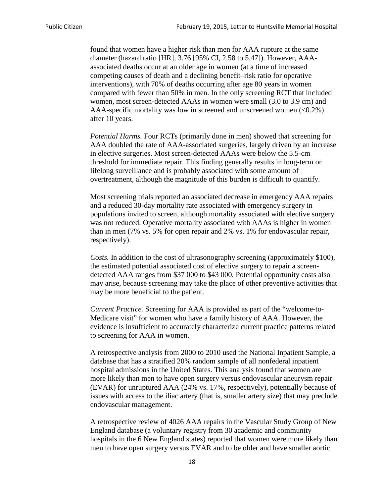found that women have a higher risk than men for AAA rupture at the same diameter (hazard ratio [HR], 3.76 [95% CI, 2.58 to 5.47]). However, AAAassociated deaths occur at an older age in women (at a time of increased competing causes of death and a declining benefit–risk ratio for operative interventions), with 70% of deaths occurring after age 80 years in women compared with fewer than 50% in men. In the only screening RCT that included women, most screen-detected AAAs in women were small (3.0 to 3.9 cm) and AAA-specific mortality was low in screened and unscreened women  $(<0.2\%)$ after 10 years.

*Potential Harms.* Four RCTs (primarily done in men) showed that screening for AAA doubled the rate of AAA-associated surgeries, largely driven by an increase in elective surgeries. Most screen-detected AAAs were below the 5.5-cm threshold for immediate repair. This finding generally results in long-term or lifelong surveillance and is probably associated with some amount of overtreatment, although the magnitude of this burden is difficult to quantify.

Most screening trials reported an associated decrease in emergency AAA repairs and a reduced 30-day mortality rate associated with emergency surgery in populations invited to screen, although mortality associated with elective surgery was not reduced. Operative mortality associated with AAAs is higher in women than in men (7% vs. 5% for open repair and 2% vs. 1% for endovascular repair, respectively).

*Costs.* In addition to the cost of ultrasonography screening (approximately \$100), the estimated potential associated cost of elective surgery to repair a screendetected AAA ranges from \$37 000 to \$43 000. Potential opportunity costs also may arise, because screening may take the place of other preventive activities that may be more beneficial to the patient.

*Current Practice.* Screening for AAA is provided as part of the "welcome-to-Medicare visit" for women who have a family history of AAA. However, the evidence is insufficient to accurately characterize current practice patterns related to screening for AAA in women.

A retrospective analysis from 2000 to 2010 used the National Inpatient Sample, a database that has a stratified 20% random sample of all nonfederal inpatient hospital admissions in the United States. This analysis found that women are more likely than men to have open surgery versus endovascular aneurysm repair (EVAR) for unruptured AAA (24% vs. 17%, respectively), potentially because of issues with access to the iliac artery (that is, smaller artery size) that may preclude endovascular management.

A retrospective review of 4026 AAA repairs in the Vascular Study Group of New England database (a voluntary registry from 30 academic and community hospitals in the 6 New England states) reported that women were more likely than men to have open surgery versus EVAR and to be older and have smaller aortic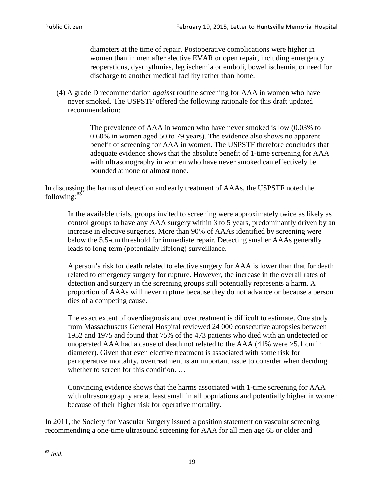diameters at the time of repair. Postoperative complications were higher in women than in men after elective EVAR or open repair, including emergency reoperations, dysrhythmias, leg ischemia or emboli, bowel ischemia, or need for discharge to another medical facility rather than home.

(4) A grade D recommendation *against* routine screening for AAA in women who have never smoked. The USPSTF offered the following rationale for this draft updated recommendation:

> The prevalence of AAA in women who have never smoked is low (0.03% to 0.60% in women aged 50 to 79 years). The evidence also shows no apparent benefit of screening for AAA in women. The USPSTF therefore concludes that adequate evidence shows that the absolute benefit of 1-time screening for AAA with ultrasonography in women who have never smoked can effectively be bounded at none or almost none.

In discussing the harms of detection and early treatment of AAAs, the USPSTF noted the following: $63$ 

In the available trials, groups invited to screening were approximately twice as likely as control groups to have any AAA surgery within 3 to 5 years, predominantly driven by an increase in elective surgeries. More than 90% of AAAs identified by screening were below the 5.5-cm threshold for immediate repair. Detecting smaller AAAs generally leads to long-term (potentially lifelong) surveillance.

A person's risk for death related to elective surgery for AAA is lower than that for death related to emergency surgery for rupture. However, the increase in the overall rates of detection and surgery in the screening groups still potentially represents a harm. A proportion of AAAs will never rupture because they do not advance or because a person dies of a competing cause.

The exact extent of overdiagnosis and overtreatment is difficult to estimate. One study from Massachusetts General Hospital reviewed 24 000 consecutive autopsies between 1952 and 1975 and found that 75% of the 473 patients who died with an undetected or unoperated AAA had a cause of death not related to the AAA (41% were >5.1 cm in diameter). Given that even elective treatment is associated with some risk for perioperative mortality, overtreatment is an important issue to consider when deciding whether to screen for this condition....

Convincing evidence shows that the harms associated with 1-time screening for AAA with ultrasonography are at least small in all populations and potentially higher in women because of their higher risk for operative mortality.

In 2011, the Society for Vascular Surgery issued a position statement on vascular screening recommending a one-time ultrasound screening for AAA for all men age 65 or older and

<span id="page-18-0"></span><sup>63</sup> *Ibid*.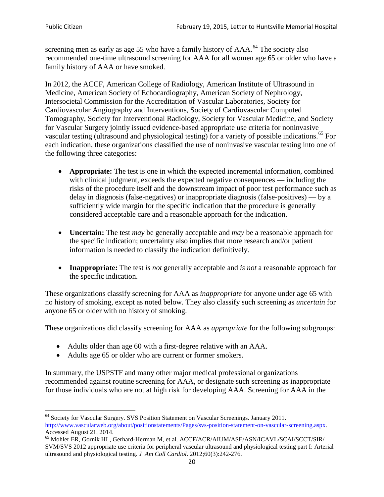screening men as early as age 55 who have a family history of AAA.<sup>[64](#page-19-0)</sup> The society also recommended one-time ultrasound screening for AAA for all women age 65 or older who have a family history of AAA or have smoked.

In 2012, the ACCF, American College of Radiology, American Institute of Ultrasound in Medicine, American Society of Echocardiography, American Society of Nephrology, Intersocietal Commission for the Accreditation of Vascular Laboratories, Society for Cardiovascular Angiography and Interventions, Society of Cardiovascular Computed Tomography, Society for Interventional Radiology, Society for Vascular Medicine, and Society for Vascular Surgery jointly issued evidence-based appropriate use criteria for noninvasive vascular testing (ultrasound and physiological testing) for a variety of possible indications.<sup>[65](#page-19-1)</sup> For each indication, these organizations classified the use of noninvasive vascular testing into one of the following three categories:

- **Appropriate:** The test is one in which the expected incremental information, combined with clinical judgment, exceeds the expected negative consequences — including the risks of the procedure itself and the downstream impact of poor test performance such as delay in diagnosis (false-negatives) or inappropriate diagnosis (false-positives) — by a sufficiently wide margin for the specific indication that the procedure is generally considered acceptable care and a reasonable approach for the indication.
- **Uncertain:** The test *may* be generally acceptable and *may* be a reasonable approach for the specific indication; uncertainty also implies that more research and/or patient information is needed to classify the indication definitively.
- **Inappropriate:** The test *is not* generally acceptable and *is not* a reasonable approach for the specific indication.

These organizations classify screening for AAA as *inappropriate* for anyone under age 65 with no history of smoking, except as noted below. They also classify such screening as *uncertain* for anyone 65 or older with no history of smoking.

These organizations did classify screening for AAA as *appropriate* for the following subgroups:

- Adults older than age 60 with a first-degree relative with an AAA.
- Adults age 65 or older who are current or former smokers.

In summary, the USPSTF and many other major medical professional organizations recommended against routine screening for AAA, or designate such screening as inappropriate for those individuals who are not at high risk for developing AAA. Screening for AAA in the

<span id="page-19-0"></span><sup>64</sup> Society for Vascular Surgery. SVS Position Statement on Vascular Screenings. January 2011. [http://www.vascularweb.org/about/positionstatements/Pages/svs-position-statement-on-vascular-screening.aspx.](http://www.vascularweb.org/about/positionstatements/Pages/svs-position-statement-on-vascular-screening.aspx) 

<span id="page-19-1"></span>Accessed August 21, 2014.<br><sup>65</sup> Mohler ER, Gornik HL, Gerhard-Herman M, et al. ACCF/ACR/AIUM/ASE/ASN/ICAVL/SCAI/SCCT/SIR/ SVM/SVS 2012 appropriate use criteria for peripheral vascular ultrasound and physiological testing part I: Arterial ultrasound and physiological testing*. J Am Coll Cardiol*. 2012;60(3):242-276.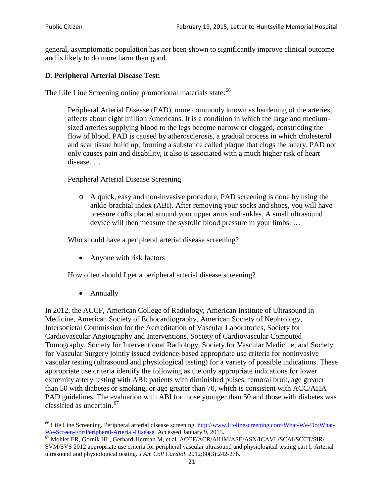general, asymptomatic population has *not* been shown to significantly improve clinical outcome and is likely to do more harm than good.

### **D. Peripheral Arterial Disease Test:**

The Life Line Screening online promotional materials state:<sup>[66](#page-20-0)</sup>

Peripheral Arterial Disease (PAD), more commonly known as hardening of the arteries, affects about eight million Americans. It is a condition in which the large and mediumsized arteries supplying blood to the legs become narrow or clogged, constricting the flow of blood. PAD is caused by atherosclerosis, a gradual process in which cholesterol and scar tissue build up, forming a substance called plaque that clogs the artery. PAD not only causes pain and disability, it also is associated with a much higher risk of heart disease. …

Peripheral Arterial Disease Screening

o A quick, easy and non-invasive procedure, PAD screening is done by using the ankle-brachial index (ABI). After removing your socks and shoes, you will have pressure cuffs placed around your upper arms and ankles. A small ultrasound device will then measure the systolic blood pressure in your limbs. …

Who should have a peripheral arterial disease screening?

• Anyone with risk factors

How often should I get a peripheral arterial disease screening?

• Annually

In 2012, the ACCF, American College of Radiology, American Institute of Ultrasound in Medicine, American Society of Echocardiography, American Society of Nephrology, Intersocietal Commission for the Accreditation of Vascular Laboratories, Society for Cardiovascular Angiography and Interventions, Society of Cardiovascular Computed Tomography, Society for Interventional Radiology, Society for Vascular Medicine, and Society for Vascular Surgery jointly issued evidence-based appropriate use criteria for noninvasive vascular testing (ultrasound and physiological testing) for a variety of possible indications. These appropriate use criteria identify the following as the only appropriate indications for lower extremity artery testing with ABI: patients with diminished pulses, femoral bruit, age greater than 50 with diabetes or smoking, or age greater than 70, which is consistent with ACC/AHA PAD guidelines. The evaluation with ABI for those younger than 50 and those with diabetes was classified as uncertain.<sup>[67](#page-20-1)</sup>

<span id="page-20-0"></span><sup>&</sup>lt;sup>66</sup> Life Line Screening. Peripheral arterial disease screening. [http://www.lifelinescreening.com/What-We-Do/What-](http://www.lifelinescreening.com/What-We-Do/What-We-Screen-For/Peripheral-Arterial-Disease)[We-Screen-For/Peripheral-Arterial-Disease.](http://www.lifelinescreening.com/What-We-Do/What-We-Screen-For/Peripheral-Arterial-Disease) Accessed January 9, 2015.<br><sup>67</sup> Mohler ER, Gornik HL, Gerhard-Herman M, et al. ACCF/ACR/AIUM/ASE/ASN/ICAVL/SCAI/SCCT/SIR/

<span id="page-20-1"></span>SVM/SVS 2012 appropriate use criteria for peripheral vascular ultrasound and physiological testing part I: Arterial ultrasound and physiological testing. *J Am Coll Cardiol*. 2012;60(3):242-276.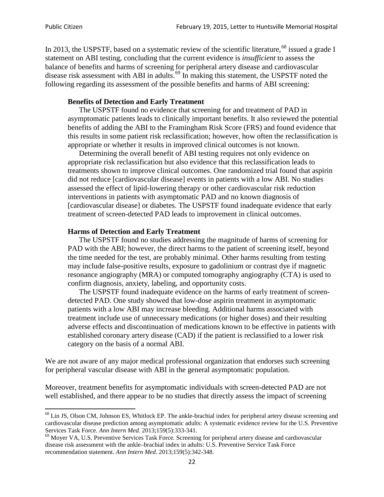In 2013, the USPSTF, based on a systematic review of the scientific literature,<sup>[68](#page-21-0)</sup> issued a grade I statement on ABI testing, concluding that the current evidence is *insufficient* to assess the balance of benefits and harms of screening for peripheral artery disease and cardiovascular disease risk assessment with ABI in adults.<sup>[69](#page-21-1)</sup> In making this statement, the USPSTF noted the following regarding its assessment of the possible benefits and harms of ABI screening:

#### **Benefits of Detection and Early Treatment**

The USPSTF found no evidence that screening for and treatment of PAD in asymptomatic patients leads to clinically important benefits. It also reviewed the potential benefits of adding the ABI to the Framingham Risk Score (FRS) and found evidence that this results in some patient risk reclassification; however, how often the reclassification is appropriate or whether it results in improved clinical outcomes is not known.

Determining the overall benefit of ABI testing requires not only evidence on appropriate risk reclassification but also evidence that this reclassification leads to treatments shown to improve clinical outcomes. One randomized trial found that aspirin did not reduce [cardiovascular disease] events in patients with a low ABI. No studies assessed the effect of lipid-lowering therapy or other cardiovascular risk reduction interventions in patients with asymptomatic PAD and no known diagnosis of [cardiovascular disease] or diabetes. The USPSTF found inadequate evidence that early treatment of screen-detected PAD leads to improvement in clinical outcomes.

#### **Harms of Detection and Early Treatment**

The USPSTF found no studies addressing the magnitude of harms of screening for PAD with the ABI; however, the direct harms to the patient of screening itself, beyond the time needed for the test, are probably minimal. Other harms resulting from testing may include false-positive results, exposure to gadolinium or contrast dye if magnetic resonance angiography (MRA) or computed tomography angiography (CTA) is used to confirm diagnosis, anxiety, labeling, and opportunity costs.

The USPSTF found inadequate evidence on the harms of early treatment of screendetected PAD. One study showed that low-dose aspirin treatment in asymptomatic patients with a low ABI may increase bleeding. Additional harms associated with treatment include use of unnecessary medications (or higher doses) and their resulting adverse effects and discontinuation of medications known to be effective in patients with established coronary artery disease (CAD) if the patient is reclassified to a lower risk category on the basis of a normal ABI.

We are not aware of any major medical professional organization that endorses such screening for peripheral vascular disease with ABI in the general asymptomatic population.

Moreover, treatment benefits for asymptomatic individuals with screen-detected PAD are not well established, and there appear to be no studies that directly assess the impact of screening

<span id="page-21-0"></span><sup>&</sup>lt;sup>68</sup> Lin JS, Olson CM, Johnson ES, Whitlock EP. The ankle-brachial index for peripheral artery disease screening and cardiovascular disease prediction among asymptomatic adults: A systematic evidence review for the U.S. Preventive Services Task Force. *Ann Intern Med.* 2013;159(5):333-341.<br><sup>69</sup> Moyer VA, U.S. Preventive Services Task Force. Screening for peripheral artery disease and cardiovascular

<span id="page-21-1"></span>disease risk assessment with the ankle–brachial index in adults: U.S. Preventive Service Task Force recommendation statement. *Ann Intern Med.* 2013;159(5):342-348.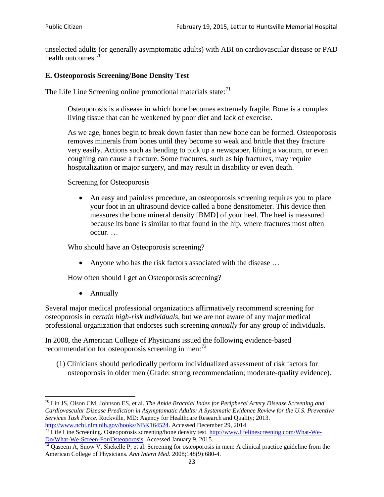unselected adults (or generally asymptomatic adults) with ABI on cardiovascular disease or PAD health outcomes.<sup>[70](#page-22-0)</sup>

### **E. Osteoporosis Screening/Bone Density Test**

The Life Line Screening online promotional materials state: $71$ 

Osteoporosis is a disease in which bone becomes extremely fragile. Bone is a complex living tissue that can be weakened by poor diet and lack of exercise.

As we age, bones begin to break down faster than new bone can be formed. Osteoporosis removes minerals from bones until they become so weak and brittle that they fracture very easily. Actions such as bending to pick up a newspaper, lifting a vacuum, or even coughing can cause a fracture. Some fractures, such as hip fractures, may require hospitalization or major surgery, and may result in disability or even death.

Screening for Osteoporosis

• An easy and painless procedure, an osteoporosis screening requires you to place your foot in an ultrasound device called a bone densitometer. This device then measures the bone mineral density [BMD] of your heel. The heel is measured because its bone is similar to that found in the hip, where fractures most often occur. …

Who should have an Osteoporosis screening?

• Anyone who has the risk factors associated with the disease ...

How often should I get an Osteoporosis screening?

• Annually

Several major medical professional organizations affirmatively recommend screening for osteoporosis in *certain high-risk individuals*, but we are not aware of any major medical professional organization that endorses such screening *annually* for any group of individuals.

In 2008, the American College of Physicians issued the following evidence-based recommendation for osteoporosis screening in men: $^{72}$  $^{72}$  $^{72}$ 

(1) Clinicians should periodically perform individualized assessment of risk factors for osteoporosis in older men (Grade: strong recommendation; moderate-quality evidence).

<span id="page-22-0"></span><sup>70</sup> [Lin JS,](http://www.ncbi.nlm.nih.gov/pubmed?term=Lin%20JS%5BAuthor%5D&cauthor=true&cauthor_uid=24156115) [Olson CM,](http://www.ncbi.nlm.nih.gov/pubmed?term=Olson%20CM%5BAuthor%5D&cauthor=true&cauthor_uid=24156115) [Johnson ES,](http://www.ncbi.nlm.nih.gov/pubmed?term=Johnson%20ES%5BAuthor%5D&cauthor=true&cauthor_uid=24156115) et al. *The Ankle Brachial Index for Peripheral Artery Disease Screening and Cardiovascular Disease Prediction in Asymptomatic Adults: A Systematic Evidence Review for the U.S. Preventive Services Task Force*. Rockville, MD: Agency for Healthcare Research and Quality; 2013.<br>http://www.ncbi.nlm.nih.gov/books/NBK164524. Accessed December 29, 2014.

<span id="page-22-1"></span> $\frac{1}{71}$  Life Line Screening. Osteoporosis screening/bone density test. [http://www.lifelinescreening.com/What-We-](http://www.lifelinescreening.com/What-We-Do/What-We-Screen-For/Osteoporosis)[Do/What-We-Screen-For/Osteoporosis.](http://www.lifelinescreening.com/What-We-Do/What-We-Screen-For/Osteoporosis) Accessed January 9, 2015. <sup>72</sup> Qaseem A, Snow V, Shekelle P, et al. Screening for osteoporosis in men: A clinical practice guideline from the

<span id="page-22-2"></span>American College of Physicians. *Ann Intern Med*. 2008;148(9):680-4.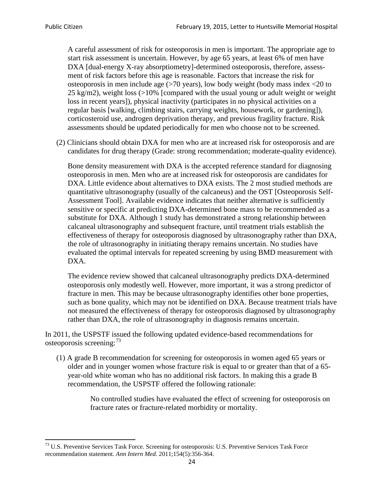A careful assessment of risk for osteoporosis in men is important. The appropriate age to start risk assessment is uncertain. However, by age 65 years, at least 6% of men have DXA [dual-energy X-ray absorptiometry]-determined osteoporosis, therefore, assessment of risk factors before this age is reasonable. Factors that increase the risk for osteoporosis in men include age (>70 years), low body weight (body mass index <20 to 25 kg/m2), weight loss  $\langle$  >10% [compared with the usual young or adult weight or weight loss in recent years]), physical inactivity (participates in no physical activities on a regular basis [walking, climbing stairs, carrying weights, housework, or gardening]), corticosteroid use, androgen deprivation therapy, and previous fragility fracture. Risk assessments should be updated periodically for men who choose not to be screened.

(2) Clinicians should obtain DXA for men who are at increased risk for osteoporosis and are candidates for drug therapy (Grade: strong recommendation; moderate-quality evidence).

Bone density measurement with DXA is the accepted reference standard for diagnosing osteoporosis in men. Men who are at increased risk for osteoporosis are candidates for DXA. Little evidence about alternatives to DXA exists. The 2 most studied methods are quantitative ultrasonography (usually of the calcaneus) and the OST [Osteoporosis Self-Assessment Tool]. Available evidence indicates that neither alternative is sufficiently sensitive or specific at predicting DXA-determined bone mass to be recommended as a substitute for DXA. Although 1 study has demonstrated a strong relationship between calcaneal ultrasonography and subsequent fracture, until treatment trials establish the effectiveness of therapy for osteoporosis diagnosed by ultrasonography rather than DXA, the role of ultrasonography in initiating therapy remains uncertain. No studies have evaluated the optimal intervals for repeated screening by using BMD measurement with DXA.

The evidence review showed that calcaneal ultrasonography predicts DXA-determined osteoporosis only modestly well. However, more important, it was a strong predictor of fracture in men. This may be because ultrasonography identifies other bone properties, such as bone quality, which may not be identified on DXA. Because treatment trials have not measured the effectiveness of therapy for osteoporosis diagnosed by ultrasonography rather than DXA, the role of ultrasonography in diagnosis remains uncertain.

In 2011, the USPSTF issued the following updated evidence-based recommendations for osteoporosis screening:<sup>[73](#page-23-0)</sup>

(1) A grade B recommendation for screening for osteoporosis in women aged 65 years or older and in younger women whose fracture risk is equal to or greater than that of a 65 year-old white woman who has no additional risk factors. In making this a grade B recommendation, the USPSTF offered the following rationale:

> No controlled studies have evaluated the effect of screening for osteoporosis on fracture rates or fracture-related morbidity or mortality.

<span id="page-23-0"></span><sup>&</sup>lt;sup>73</sup> U.S. Preventive Services Task Force. Screening for osteoporosis: U.S. Preventive Services Task Force recommendation statement. *Ann Intern Med*. 2011;154(5):356-364.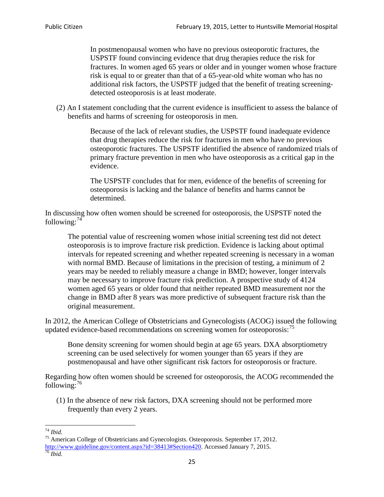In postmenopausal women who have no previous osteoporotic fractures, the USPSTF found convincing evidence that drug therapies reduce the risk for fractures. In women aged 65 years or older and in younger women whose fracture risk is equal to or greater than that of a 65-year-old white woman who has no additional risk factors, the USPSTF judged that the benefit of treating screeningdetected osteoporosis is at least moderate.

(2) An I statement concluding that the current evidence is insufficient to assess the balance of benefits and harms of screening for osteoporosis in men.

> Because of the lack of relevant studies, the USPSTF found inadequate evidence that drug therapies reduce the risk for fractures in men who have no previous osteoporotic fractures. The USPSTF identified the absence of randomized trials of primary fracture prevention in men who have osteoporosis as a critical gap in the evidence.

The USPSTF concludes that for men, evidence of the benefits of screening for osteoporosis is lacking and the balance of benefits and harms cannot be determined.

In discussing how often women should be screened for osteoporosis, the USPSTF noted the following: $74$ 

The potential value of rescreening women whose initial screening test did not detect osteoporosis is to improve fracture risk prediction. Evidence is lacking about optimal intervals for repeated screening and whether repeated screening is necessary in a woman with normal BMD. Because of limitations in the precision of testing, a minimum of 2 years may be needed to reliably measure a change in BMD; however, longer intervals may be necessary to improve fracture risk prediction. A prospective study of 4124 women aged 65 years or older found that neither repeated BMD measurement nor the change in BMD after 8 years was more predictive of subsequent fracture risk than the original measurement.

In 2012, the American College of Obstetricians and Gynecologists (ACOG) issued the following updated evidence-based recommendations on screening women for osteoporosis:<sup>[75](#page-24-1)</sup>

Bone density screening for women should begin at age 65 years. DXA absorptiometry screening can be used selectively for women younger than 65 years if they are postmenopausal and have other significant risk factors for osteoporosis or fracture.

Regarding how often women should be screened for osteoporosis, the ACOG recommended the following: $^{76}$  $^{76}$  $^{76}$ 

(1) In the absence of new risk factors, DXA screening should not be performed more frequently than every 2 years.

<span id="page-24-2"></span><span id="page-24-1"></span><span id="page-24-0"></span><sup>74</sup> *Ibid.* <sup>75</sup> American College of Obstetricians and Gynecologists. Osteoporosis. September 17, 2012. [http://www.guideline.gov/content.aspx?id=38413#Section420.](http://www.guideline.gov/content.aspx?id=38413#Section420) Accessed January 7, 2015.<br><sup>76</sup> *Ibid.*